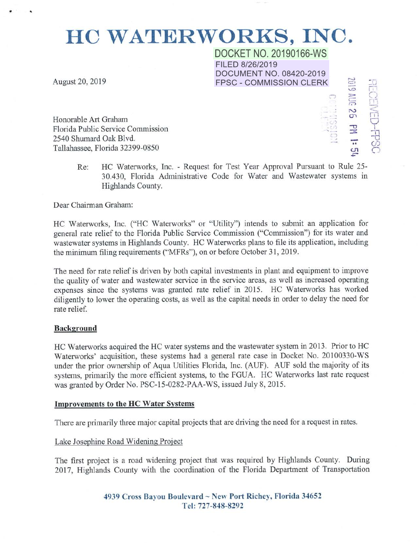# HC WATERWORKS, INC.

DOCKET NO. 20190166-WS FILED 8/26/2019 DOCUMENT NO. 08420-2019 FPSC- COMMISSION CLERK

> . )  $\mathcal{L}$

f'"..J *c-..:•*  -.o  $\widetilde{\Xi}$ 

 $\frac{1}{2}$ rn  $\widetilde{\widehat{\Pi}}$ 

 $\frac{\nabla}{\mathbf{h}}$ 

े  $\subset$ 

 $\approx$ 

 $\frac{1}{\sqrt{2}}$ -.. U1

August 20, 2019

. .

Honorable Art Graham Florida Public Service Commission 2540 Shumard Oak Blvd. Tallahassee, Florida 32399-0850

> Re: HC Waterworks, Inc. - Request for Test Year Approval Pursuant to Rule 25- 30.430, Florida Administrative Code for Water and Wastewater systems in Highlands County.

Dear Chairman Graham:

HC Waterworks, Inc. ("HC Waterworks" or "Utility'') intends to submit an application for general rate relief to the Florida Public Service Commission ("Commission") for its water and wastewater systems in Highlands County. HC Waterworks plans to file its application, including the minimum filing requirements ("MFRs"), on or before October 31, 2019.

The need for rate relief is driven by both capital investments in plant and equipment to improve the quality of water and wastewater service in the service areas, as well as increased operating expenses since the systems was granted rate relief in 2015. HC Waterworks has worked diligently to lower the operating costs, as well as the capital needs in order to delay the need for rate relief.

### Background

HC Waterworks acquired the HC water systems and the wastewater system in 2013. Prior to HC Waterworks' acquisition, these systems had a general rate case in Docket No. 20100330-WS under the prior ownership of Aqua Utilities Florida, Inc. (AUF). AUF sold the majority of its systems, primarily the more efficient systems, to the FGUA. HC Waterworks last rate request was granted by Order No. PSC-15-0282-PAA-WS, issued July 8, 2015.

### Improvements to the HC Water Svstems

There are primarily three major capital projects that are driving the need for a request in rates.

## Lake Josephine Road Widening Project

The first project is a road widening project that was required by Highlands County. During 2017, Highlands County with the coordination of the Florida Department of Transportation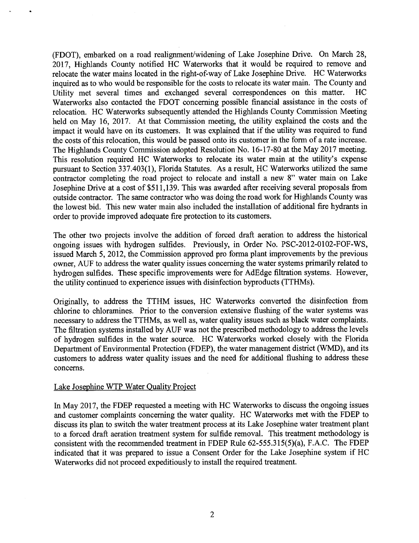(FDOT), embarked on a road realignment/widening of Lake Josephine Drive. On March 28, 2017, Highlands County notified HC Waterworks that it would be required to remove and relocate the water mains located in the right-of-way of Lake Josephine Drive. HC Waterworks inquired as to who would be responsible for the costs to relocate its water main. The County and Utility met several times and exchanged several correspondences on this matter. HC Waterworks also contacted the FDOT concerning possible financial assistance in the costs of relocation. HC Waterworks subsequently attended the Highlands County Commission Meeting held on May 16, 2017. At that Commission meeting, the utility explained the costs and the impact it would have on its customers. It was explained that if the utility was required to fund the costs of this relocation, this would be passed onto its customer in the form of a rate increase. The Highlands County Commission adopted Resolution No. 16-17-80 at the May 2017 meeting. This resolution required HC Waterworks to relocate its water main at the utility's expense pursuant to Section 337.403(1), Florida Statutes. As a result, HC Waterworks utilized the same contractor completing the road project to relocate and install a new 8" water main on Lake Josephine Drive at a cost of \$511,139. This was awarded after receiving several proposals from outside contractor. The same contractor who was doing the road work for Highlands County was the lowest bid. This new water main also included the installation of additional fire hydrants in order to provide improved adequate fire protection to its customers.

The other two projects involve the addition of forced draft aeration to address the historical ongoing issues with hydrogen sulfides. Previously, in Order No. PSC-2012-0102-FOF-WS, issued March 5, 2012, the Commission approved pro forma plant improvements by the previous owner, AUF to address the water quality issues concerning the water systems primarily related to hydrogen sulfides. These specific improvements were for AdEdge filtration systems. However, the utility continued to experience issues with disinfection byproducts (TTHMs).

Originally, to address the TTHM issues, HC Waterworks converted the disinfection from chlorine to chloramines. Prior to the conversion extensive flushing of the water systems was necessary to address the TTHMs, as well as, water quality issues such as black water complaints. The filtration systems installed by AUF was not the prescribed methodology to address the levels of hydrogen sulfides in the water source. HC Waterworks worked closely with the Florida Department of Environmental Protection (FDEP), the water management district (WMD), and its customers to address water quality issues and the need for additional flushing to address these concerns.

## Lake Josephine WTP Water Quality Project

In May 2017, the FDEP requested a meeting with HC Waterworks to discuss the ongoing issues and customer complaints concerning the water quality. HC Waterworks met with the FDEP to discuss its plan to switch the water treatment process at its Lake Josephine water treatment plant to a forced draft aeration treatment system for sulfide removal. This treatment methodology is consistent with the recommended treatment in FDEP Rule 62-555.315(5)(a), F.A.C. The FDEP indicated that it was prepared to issue a Consent Order for the Lake Josephine system if HC Waterworks did not proceed expeditiously to install the required treatment.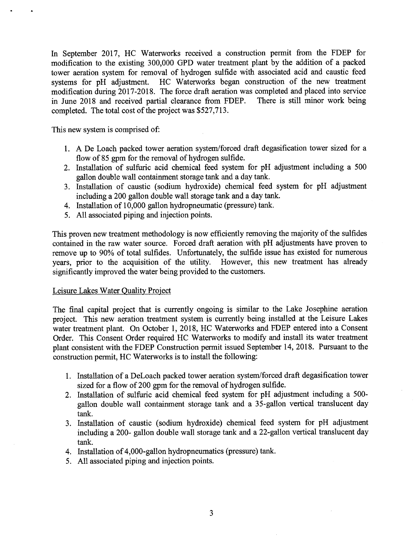In September 2017, HC Waterworks received a construction permit from the FDEP for modification to the existing 300,000 GPD water treatment plant by the addition of a packed tower aeration system for removal of hydrogen sulfide with associated acid and caustic feed systems for pH adjustment. HC Waterworks began construction of the new treatment modification during 2017-2018. The force draft aeration was completed and placed into service<br>in June 2018 and received partial clearance from FDEP. There is still minor work being in June 2018 and received partial clearance from FDEP. completed. The total cost of the project was \$527,713.

This new system is comprised of:

- 1. A De Loach packed tower aeration system/forced draft degasification tower sized for a flow of 85 gpm for the removal of hydrogen sulfide.
- 2. Installation of sulfuric acid chemical feed system for pH adjustment including a 500 gallon double wall containment storage tank and a day tank.
- 3. Installation of caustic (sodium hydroxide) chemical feed system for pH adjustment including a 200 gallon double wall storage tank and a day tank.
- 4. Installation of 10,000 gallon hydropneumatic (pressure) tank.
- 5. All associated piping and injection points.

This proven new treatment methodology is now efficiently removing the majority of the sulfides contained in the raw water source. Forced draft aeration with pH adjustments have proven to remove up to 90% of total sulfides. Unfortunately, the sulfide issue has existed for numerous years, prior to the acquisition of the utility. However, this new treatment has already significantly improved the water being provided to the customers.

## Leisure Lakes Water Quality Project

The final capital project that is currently ongoing is similar to the Lake Josephine aeration project. This new aeration treatment system is currently being installed at the Leisure Lakes water treatment plant. On October 1, 2018, HC Waterworks and FDEP entered into a Consent Order. This Consent Order required HC Waterworks to modify and install its water treatment <sup>p</sup>lant consistent with the FDEP Construction permit issued September 14, 2018. Pursuant to the construction permit, HC Waterworks is to install the following:

- 1. Installation of a DeLoach packed tower aeration system/forced draft degasification tower sized for a flow of 200 gpm for the removal of hydrogen sulfide.
- 2. Installation of sulfuric acid chemical feed system for pH adjustment including a 500 gallon double wall containment storage tank and a 35-gallon vertical translucent day tank.
- 3. Installation of caustic (sodium hydroxide) chemical feed system for pH adjustment including a 200- gallon double wall storage tank and a 22-gallon vertical translucent day tank.
- 4. Installation of 4,000-gallon hydropneumatics (pressure) tank.
- 5. All associated piping and injection points.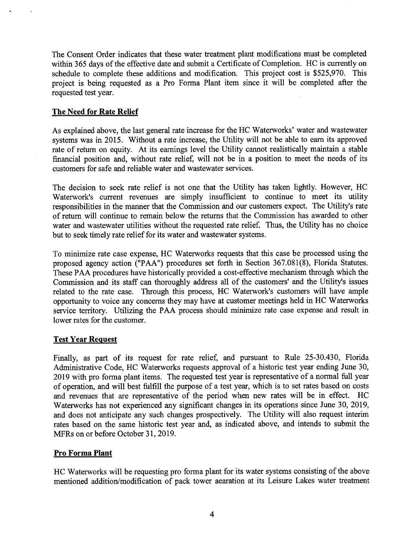The Consent Order indicates that these water treatment plant modifications must be completed within 365 days of the effective date and submit a Certificate of Completion. HC is currently on schedule to complete these additions and modification. This project cost is \$525,970. This project is being requested as a Pro Forma Plant item since it will be completed after the requested test year.

# The Need for Rate Relief

As explained above, the last general rate increase for the HC Waterworks' water and wastewater systems was in 2015. Without a rate increase, the Utility will not be able to earn its approved rate of return on equity. At its earnings level the Utility cannot realistically maintain a stable financial position and, without rate relief, will not be in a position to meet the needs of its customers for safe and reliable water and wastewater services.

The decision to seek rate relief is not one that the Utility has taken lightly. However, HC Waterwork's current revenues are simply insufficient to continue to meet its utility responsibilities in the manner that the Commission and our customers expect. The Utility's rate of return will continue to remain below the returns that the Commission has awarded to other water and wastewater utilities without the requested rate relief. Thus, the Utility has no choice but to seek timely rate relief for its water and wastewater systems.

To minimize rate case expense, HC Waterworks requests that this case be processed using the proposed agency action ("PAA") procedures set forth in Section 367.081(8), Florida Statutes. These PAA procedures have historically provided a cost-effective mechanism through which the Commission and its staff can thoroughly address all of the customers' and the Utility's issues related to the rate case. Through this process, HC Waterwork's customers will have ample opportunity to voice any concerns they may have at customer meetings held in HC Waterworks service territory. Utilizing the PAA process should minimize rate case expense and result in lower rates for the customer.

# Test Year Request

Finally, as part of its request for rate relief, and pursuant to Rule 25-30.430, Florida Administrative Code, HC Waterworks requests approval of a historic test year ending June 30, 2019 with pro forma plant items. The requested test year is representative of a normal full year of operation, and will best fulfill the purpose of a test year, which is to set rates based on costs and revenues that are representative of the period when new rates will be in effect. HC Waterworks has not experienced any significant changes in its operations since June 30, 2019, and does not anticipate any such changes prospectively. The Utility will also request interim rates based on the same historic test year and, as indicated above, and intends to submit the MFRs on or before October 31, 2019.

# Pro Forma Plant

HC Waterworks will be requesting pro forma plant for its water systems consisting of the above mentioned addition/modification of pack tower aearation at its Leisure Lakes water treatment